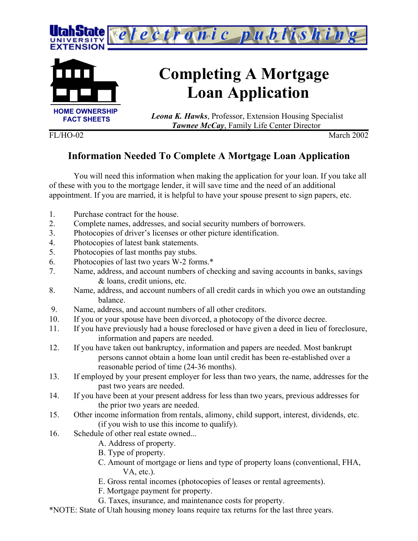



# **Completing A Mortgage Loan Application**

 *Leona K. Hawks*, Professor, Extension Housing Specialist *Tawnee McCay*, Family Life Center Director

FL/HO-02 March 2002

## **Information Needed To Complete A Mortgage Loan Application**

You will need this information when making the application for your loan. If you take all of these with you to the mortgage lender, it will save time and the need of an additional appointment. If you are married, it is helpful to have your spouse present to sign papers, etc.

- 1. Purchase contract for the house.
- 2. Complete names, addresses, and social security numbers of borrowers.
- 3. Photocopies of driver's licenses or other picture identification.
- 4. Photocopies of latest bank statements.
- 5. Photocopies of last months pay stubs.
- 6. Photocopies of last two years W-2 forms.\*
- 7. Name, address, and account numbers of checking and saving accounts in banks, savings & loans, credit unions, etc.
- 8. Name, address, and account numbers of all credit cards in which you owe an outstanding balance.
- 9. Name, address, and account numbers of all other creditors.
- 10. If you or your spouse have been divorced, a photocopy of the divorce decree.
- 11. If you have previously had a house foreclosed or have given a deed in lieu of foreclosure, information and papers are needed.
- 12. If you have taken out bankruptcy, information and papers are needed. Most bankrupt persons cannot obtain a home loan until credit has been re-established over a reasonable period of time (24-36 months).
- 13. If employed by your present employer for less than two years, the name, addresses for the past two years are needed.
- 14. If you have been at your present address for less than two years, previous addresses for the prior two years are needed.
- 15. Other income information from rentals, alimony, child support, interest, dividends, etc. (if you wish to use this income to qualify).
- 16. Schedule of other real estate owned...
	- A. Address of property.
	- B. Type of property.
	- C. Amount of mortgage or liens and type of property loans (conventional, FHA, VA, etc.).
	- E. Gross rental incomes (photocopies of leases or rental agreements).
	- F. Mortgage payment for property.
	- G. Taxes, insurance, and maintenance costs for property.
- \*NOTE: State of Utah housing money loans require tax returns for the last three years.